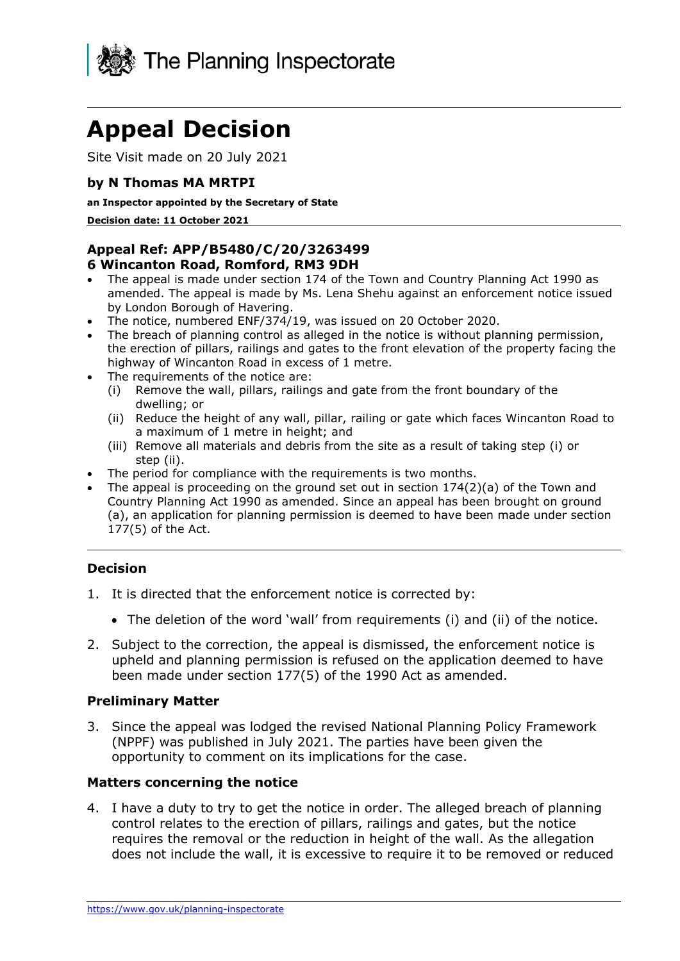

# **Appeal Decision**

Site Visit made on 20 July 2021

## **by N Thomas MA MRTPI**

#### **an Inspector appointed by the Secretary of State**

**Decision date: 11 October 2021** 

## **Appeal Ref: APP/B5480/C/20/3263499**

#### **6 Wincanton Road, Romford, RM3 9DH**

- The appeal is made under section 174 of the Town and Country Planning Act 1990 as amended. The appeal is made by Ms. Lena Shehu against an enforcement notice issued by London Borough of Havering.
- The notice, numbered ENF/374/19, was issued on 20 October 2020.
- the erection of pillars, railings and gates to the front elevation of the property facing the • The breach of planning control as alleged in the notice is without planning permission, highway of Wincanton Road in excess of 1 metre.
- The requirements of the notice are:
	- (i) Remove the wall, pillars, railings and gate from the front boundary of the dwelling; or
	- (ii) Reduce the height of any wall, pillar, railing or gate which faces Wincanton Road to a maximum of 1 metre in height; and
	- (iii) Remove all materials and debris from the site as a result of taking step (i) or step (ii).
- The period for compliance with the requirements is two months.
- • The appeal is proceeding on the ground set out in section 174(2)(a) of the Town and Country Planning Act 1990 as amended. Since an appeal has been brought on ground (a), an application for planning permission is deemed to have been made under section 177(5) of the Act.

## **Decision**

- 1. It is directed that the enforcement notice is corrected by:
	- The deletion of the word 'wall' from requirements (i) and (ii) of the notice.
- upheld and planning permission is refused on the application deemed to have 2. Subject to the correction, the appeal is dismissed, the enforcement notice is been made under section 177(5) of the 1990 Act as amended.

#### **Preliminary Matter**

 3. Since the appeal was lodged the revised National Planning Policy Framework (NPPF) was published in July 2021. The parties have been given the opportunity to comment on its implications for the case.

## **Matters concerning the notice**

 4. I have a duty to try to get the notice in order. The alleged breach of planning control relates to the erection of pillars, railings and gates, but the notice requires the removal or the reduction in height of the wall. As the allegation does not include the wall, it is excessive to require it to be removed or reduced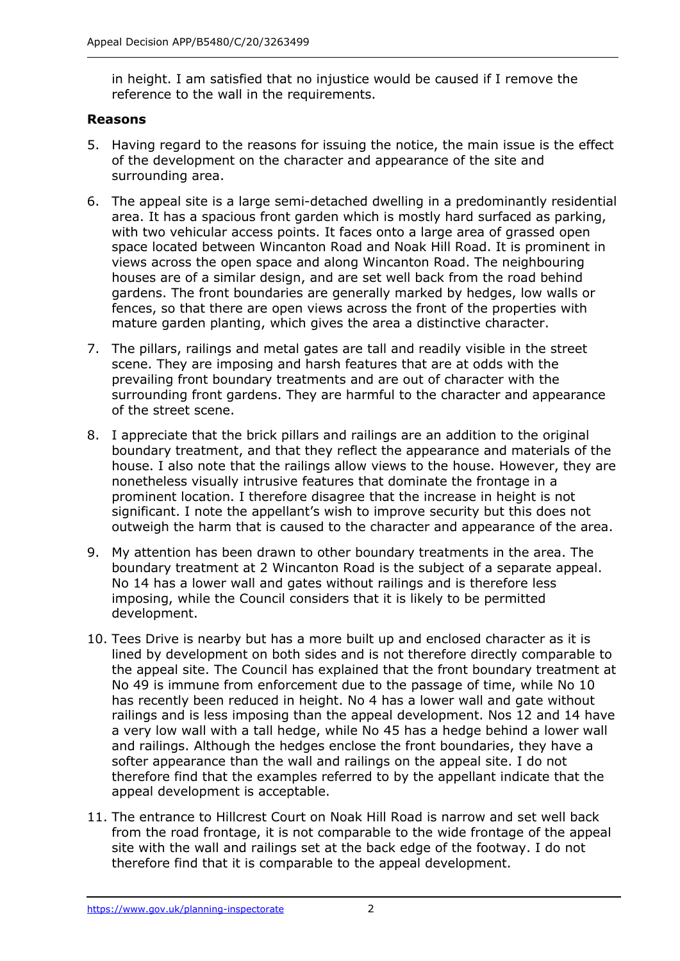in height. I am satisfied that no injustice would be caused if I remove the reference to the wall in the requirements.

#### **Reasons**

- 5. Having regard to the reasons for issuing the notice, the main issue is the effect of the development on the character and appearance of the site and surrounding area.
- 6. The appeal site is a large semi-detached dwelling in a predominantly residential area. It has a spacious front garden which is mostly hard surfaced as parking, with two vehicular access points. It faces onto a large area of grassed open space located between Wincanton Road and Noak Hill Road. It is prominent in views across the open space and along Wincanton Road. The neighbouring houses are of a similar design, and are set well back from the road behind gardens. The front boundaries are generally marked by hedges, low walls or fences, so that there are open views across the front of the properties with mature garden planting, which gives the area a distinctive character.
- 7. The pillars, railings and metal gates are tall and readily visible in the street scene. They are imposing and harsh features that are at odds with the prevailing front boundary treatments and are out of character with the surrounding front gardens. They are harmful to the character and appearance of the street scene.
- boundary treatment, and that they reflect the appearance and materials of the house. I also note that the railings allow views to the house. However, they are nonetheless visually intrusive features that dominate the frontage in a prominent location. I therefore disagree that the increase in height is not significant. I note the appellant's wish to improve security but this does not outweigh the harm that is caused to the character and appearance of the area. 8. I appreciate that the brick pillars and railings are an addition to the original
- boundary treatment at 2 Wincanton Road is the subject of a separate appeal. No 14 has a lower wall and gates without railings and is therefore less 9. My attention has been drawn to other boundary treatments in the area. The imposing, while the Council considers that it is likely to be permitted development.
- 10. Tees Drive is nearby but has a more built up and enclosed character as it is lined by development on both sides and is not therefore directly comparable to the appeal site. The Council has explained that the front boundary treatment at No 49 is immune from enforcement due to the passage of time, while No 10 has recently been reduced in height. No 4 has a lower wall and gate without railings and is less imposing than the appeal development. Nos 12 and 14 have a very low wall with a tall hedge, while No 45 has a hedge behind a lower wall softer appearance than the wall and railings on the appeal site. I do not and railings. Although the hedges enclose the front boundaries, they have a therefore find that the examples referred to by the appellant indicate that the appeal development is acceptable.
- 11. The entrance to Hillcrest Court on Noak Hill Road is narrow and set well back from the road frontage, it is not comparable to the wide frontage of the appeal site with the wall and railings set at the back edge of the footway. I do not therefore find that it is comparable to the appeal development.